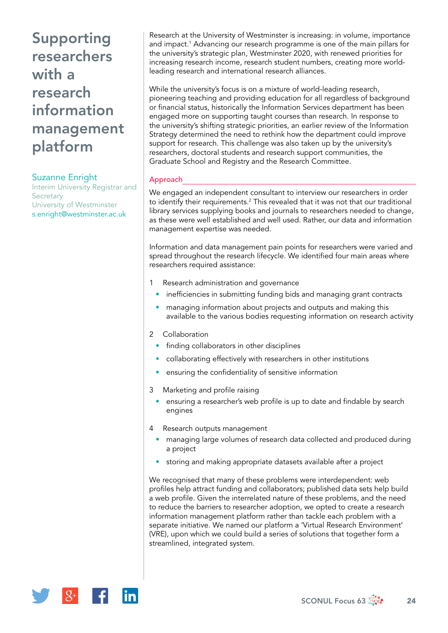## Suzanne Enright

Interim University Registrar and **Secretary** University of Westminster [s.enright@westminster.ac.uk](mailto:s.enright@westminster.ac.uk)

Research at the University of Westminster is increasing: in volume, importance and impact.<sup>1</sup> Advancing our research programme is one of the main pillars for the university's strategic plan, Westminster 2020, with renewed priorities for increasing research income, research student numbers, creating more worldleading research and international research alliances.

While the university's focus is on a mixture of world-leading research, pioneering teaching and providing education for all regardless of background or financial status, historically the Information Services department has been engaged more on supporting taught courses than research. In response to the university's shifting strategic priorities, an earlier review of the Information Strategy determined the need to rethink how the department could improve support for research. This challenge was also taken up by the university's researchers, doctoral students and research support communities, the Graduate School and Registry and the Research Committee.

# Approach

We engaged an independent consultant to interview our researchers in order to identify their requirements.<sup>2</sup> This revealed that it was not that our traditional library services supplying books and journals to researchers needed to change, as these were well established and well used. Rather, our data and information management expertise was needed.

Information and data management pain points for researchers were varied and spread throughout the research lifecycle. We identified four main areas where researchers required assistance:

- 1 Research administration and governance
	- inefficiencies in submitting funding bids and managing grant contracts
	- managing information about projects and outputs and making this available to the various bodies requesting information on research activity
- 2 Collaboration
	- finding collaborators in other disciplines
	- collaborating effectively with researchers in other institutions
	- ensuring the confidentiality of sensitive information
- 3 Marketing and profile raising
- ensuring a researcher's web profile is up to date and findable by search engines
- 4 Research outputs management
	- managing large volumes of research data collected and produced during a project
	- storing and making appropriate datasets available after a project

We recognised that many of these problems were interdependent: web profiles help attract funding and collaborators; published data sets help build a web profile. Given the interrelated nature of these problems, and the need to reduce the barriers to researcher adoption, we opted to create a research information management platform rather than tackle each problem with a separate initiative. We named our platform a 'Virtual Research Environment' (VRE), upon which we could build a series of solutions that together form a streamlined, integrated system.

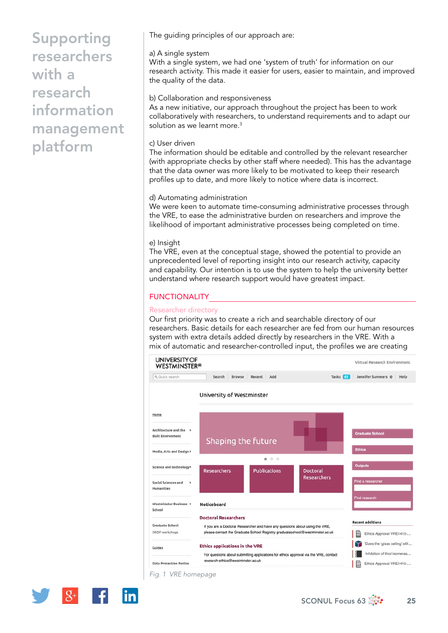The guiding principles of our approach are:

## a) A single system

With a single system, we had one 'system of truth' for information on our research activity. This made it easier for users, easier to maintain, and improved the quality of the data.

#### b) Collaboration and responsiveness

As a new initiative, our approach throughout the project has been to work collaboratively with researchers, to understand requirements and to adapt our solution as we learnt more.<sup>3</sup>

#### c) User driven

The information should be editable and controlled by the relevant researcher (with appropriate checks by other staff where needed). This has the advantage that the data owner was more likely to be motivated to keep their research profiles up to date, and more likely to notice where data is incorrect.

#### d) Automating administration

We were keen to automate time-consuming administrative processes through the VRE, to ease the administrative burden on researchers and improve the likelihood of important administrative processes being completed on time.

#### e) Insight

The VRE, even at the conceptual stage, showed the potential to provide an unprecedented level of reporting insight into our research activity, capacity and capability. Our intention is to use the system to help the university better understand where research support would have greatest impact.

## **FUNCTIONALITY**

#### Researcher directory

Our first priority was to create a rich and searchable directory of our researchers. Basic details for each researcher are fed from our human resources system with extra details added directly by researchers in the VRE. With a mix of automatic and researcher-controlled input, the profiles we are creating



*Fig. 1 VRE homepage*

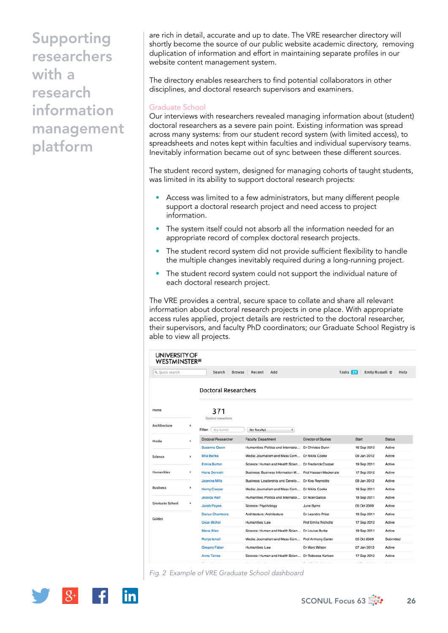are rich in detail, accurate and up to date. The VRE researcher directory will shortly become the source of our public website academic directory, removing duplication of information and effort in maintaining separate profiles in our website content management system.

The directory enables researchers to find potential collaborators in other disciplines, and doctoral research supervisors and examiners.

## Graduate School

Our interviews with researchers revealed managing information about (student) doctoral researchers as a severe pain point. Existing information was spread across many systems: from our student record system (with limited access), to spreadsheets and notes kept within faculties and individual supervisory teams. Inevitably information became out of sync between these different sources.

The student record system, designed for managing cohorts of taught students, was limited in its ability to support doctoral research projects:

- Access was limited to a few administrators, but many different people support a doctoral research project and need access to project information.
- The system itself could not absorb all the information needed for an appropriate record of complex doctoral research projects.
- The student record system did not provide sufficient flexibility to handle the multiple changes inevitably required during a long-running project.
- The student record system could not support the individual nature of each doctoral research project.

The VRE provides a central, secure space to collate and share all relevant information about doctoral research projects in one place. With appropriate access rules applied, project details are restricted to the doctoral researcher, their supervisors, and faculty PhD coordinators; our Graduate School Registry is able to view all projects.

| Q Quick search                |    | <b>Browse</b><br>Search     | Add<br>Recent                                       |                            | Tasks <b>741</b> | Emily Russell $\Phi$ | Help          |
|-------------------------------|----|-----------------------------|-----------------------------------------------------|----------------------------|------------------|----------------------|---------------|
|                               |    | <b>Doctoral Researchers</b> |                                                     |                            |                  |                      |               |
| Home                          |    | 371<br>Doctoral researchers |                                                     |                            |                  |                      |               |
| Architecture                  | r  | Filter:<br>(by name)        | (by faculty)                                        | ٠                          |                  |                      |               |
| Media                         | k. | Doctoral Researcher         | <b>Faculty: Department</b>                          | <b>Director of Studies</b> | Start            |                      | <b>Status</b> |
|                               |    | Susanna Owen                | Humanities: Politics and Internatio                 | Dr Christos Dunn           |                  | 16 Sep 2013          | Active        |
| Science                       | ×. | <b>Mila Banks</b>           | Media: Journalism and Mass Com                      | Dr Nikita Cooke            |                  | 09 Jan 2012          | Active        |
|                               |    | Emilia Burton               | Science: Human and Health Scien Dr Frederick Cooper |                            |                  | 19 Sep 2011          | Active        |
| Humanities<br><b>Business</b> | r  | Hana Dervishi               | Business: Business Information M                    | Prof Hassan Mackenzie      |                  | 17 Sep 2012          | Active        |
|                               |    | <b>Jasmine Mills</b>        | Business: Leadership and Develo                     | Dr Kira Reynolds           |                  | 09 Jan 2012          | Active        |
|                               | r  | <b>Henry Cooper</b>         | Media: Journalism and Mass Com                      | Dr Nikita Cooke            |                  | 19 Sep 2011          | Active        |
| <b>Graduate School</b>        |    | <b>Jessica Hart</b>         | Humanities: Politics and Internatio                 | Dr Noel Garcia             |                  | 19 Sep 2011          | Active        |
|                               | ۰  | <b>Jacob Payne</b>          | Science: Psychology                                 | June Byrne                 |                  | 05 Oct 2009          | Active        |
| Guides                        |    | <b>Darius Chambers</b>      | Architecture: Architecture                          | Dr Leandro Price           |                  | 19 Sep 2011          | Active        |
|                               |    | <b>Uxue Michel</b>          | Humanities: Law                                     | Prof Emilia Nicholls       |                  | 17 Sep 2012          | Active        |
|                               |    | <b>Mane Allen</b>           | Science: Human and Health Scien                     | Dr Louise Burke            |                  | 19 Sep 2011          | Active        |
|                               |    | Ronja Ismail                | Media: Journalism and Mass Com                      | Prof Anthony Carter        |                  | 05 Oct 2009          | Submitted     |
|                               |    | <b>Gregory Faber</b>        | Humanities: Law                                     | Dr Marc Wilson             |                  | 07 Jan 2013          | Active        |
|                               |    | <b>Anna Torres</b>          | Science: Human and Health Scien                     | Dr Rebecca Karlsen         |                  | 17 Sep 2012          | Active        |

*Fig. 2 Example of VRE Graduate School dashboard*



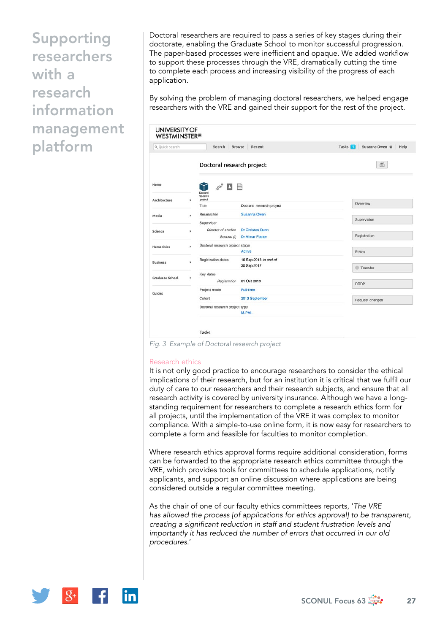Doctoral researchers are required to pass a series of key stages during their doctorate, enabling the Graduate School to monitor successful progression. The paper-based processes were inefficient and opaque. We added workflow to support these processes through the VRE, dramatically cutting the time to complete each process and increasing visibility of the progress of each application.

By solving the problem of managing doctoral researchers, we helped engage researchers with the VRE and gained their support for the rest of the project.

| Q Quick search         |   | <b>Browse</b><br>Recent<br>Search                  |                                      | Susanna Owen Ø<br>Tasks 1<br>Help |  |
|------------------------|---|----------------------------------------------------|--------------------------------------|-----------------------------------|--|
|                        |   | Doctoral research project                          |                                      | 图                                 |  |
| Home                   |   | $\delta^{0}$ $\Box$ $\Box$<br>Doctoral<br>research |                                      |                                   |  |
| Architecture           | ٠ | project<br>Title                                   | Doctoral research project            | Overview                          |  |
| Media                  | ٠ | Researcher                                         | Susanna Owen                         |                                   |  |
|                        |   | Supervisor                                         |                                      | Supervision                       |  |
| Science                | ٠ | Director of studies                                | Dr Christos Dunn                     |                                   |  |
|                        |   |                                                    | Second (i) Dr Aimar Foster           | Registration                      |  |
| Humanities             | ٠ | Doctoral research project stage                    |                                      |                                   |  |
|                        |   |                                                    | Active                               | Ethics                            |  |
| <b>Business</b>        | ٠ | Registration dates                                 | 16 Sep 2013 to end of<br>30 Sep 2017 |                                   |  |
|                        |   |                                                    |                                      | <b>Transfer</b>                   |  |
| <b>Graduate School</b> | ٠ | Key dates<br>Registration                          | 01 Oct 2013                          |                                   |  |
| Guides                 |   | Project mode                                       | <b>Full-time</b>                     | DRDP                              |  |
|                        |   |                                                    |                                      |                                   |  |
|                        |   | Cohort                                             | 2013 September                       | Request changes                   |  |
|                        |   | Doctoral research project type                     | M.Phil.                              |                                   |  |

*Fig. 3 Example of Doctoral research project*

#### Research ethics

It is not only good practice to encourage researchers to consider the ethical implications of their research, but for an institution it is critical that we fulfil our duty of care to our researchers and their research subjects, and ensure that all research activity is covered by university insurance. Although we have a longstanding requirement for researchers to complete a research ethics form for all projects, until the implementation of the VRE it was complex to monitor compliance. With a simple-to-use online form, it is now easy for researchers to complete a form and feasible for faculties to monitor completion.

Where research ethics approval forms require additional consideration, forms can be forwarded to the appropriate research ethics committee through the VRE, which provides tools for committees to schedule applications, notify applicants, and support an online discussion where applications are being considered outside a regular committee meeting.

As the chair of one of our faculty ethics committees reports, '*The VRE has allowed the process [of applications for ethics approval] to be transparent, creating a significant reduction in staff and student frustration levels and importantly it has reduced the number of errors that occurred in our old procedures.*'

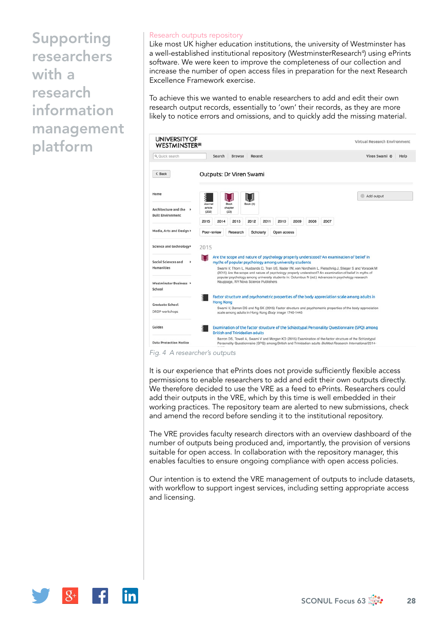## Research outputs repository

Like most UK higher education institutions, the university of Westminster has a well-established institutional repository (WestminsterResearch<sup>4</sup>) using ePrints software. We were keen to improve the completeness of our collection and increase the number of open access files in preparation for the next Research Excellence Framework exercise.

To achieve this we wanted to enable researchers to add and edit their own research output records, essentially to 'own' their records, as they are more likely to notice errors and omissions, and to quickly add the missing material.



*Fig. 4 A researcher's outputs*

It is our experience that ePrints does not provide sufficiently flexible access permissions to enable researchers to add and edit their own outputs directly. We therefore decided to use the VRE as a feed to ePrints. Researchers could add their outputs in the VRE, which by this time is well embedded in their working practices. The repository team are alerted to new submissions, check and amend the record before sending it to the institutional repository.

The VRE provides faculty research directors with an overview dashboard of the number of outputs being produced and, importantly, the provision of versions suitable for open access. In collaboration with the repository manager, this enables faculties to ensure ongoing compliance with open access policies.

Our intention is to extend the VRE management of outputs to include datasets, with workflow to support ingest services, including setting appropriate access and licensing.

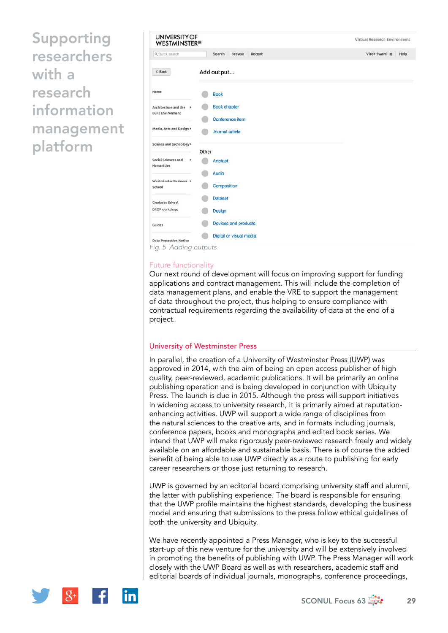|                            | Virtual Research Environment                                                        |  |  |  |
|----------------------------|-------------------------------------------------------------------------------------|--|--|--|
| Browse<br>Search<br>Recent | Viren Swami ©<br>Help                                                               |  |  |  |
| Add output                 |                                                                                     |  |  |  |
| <b>Book</b>                |                                                                                     |  |  |  |
| <b>Book chapter</b>        |                                                                                     |  |  |  |
| Journal article            |                                                                                     |  |  |  |
|                            |                                                                                     |  |  |  |
| <b>Artefact</b>            |                                                                                     |  |  |  |
| Audio                      |                                                                                     |  |  |  |
| Composition                |                                                                                     |  |  |  |
| <b>Dataset</b>             |                                                                                     |  |  |  |
| Design                     |                                                                                     |  |  |  |
| Devices and products       |                                                                                     |  |  |  |
| Digital or visual media    |                                                                                     |  |  |  |
|                            | <b>UNIVERSITY OF</b><br><b>WESTMINSTER</b> <sup>®</sup><br>Conference item<br>Other |  |  |  |

*Fig. 5 Adding outputs*

## Future functionality

Our next round of development will focus on improving support for funding applications and contract management. This will include the completion of data management plans, and enable the VRE to support the management of data throughout the project, thus helping to ensure compliance with contractual requirements regarding the availability of data at the end of a project.

#### University of Westminster Press

In parallel, the creation of a University of Westminster Press (UWP) was approved in 2014, with the aim of being an open access publisher of high quality, peer-reviewed, academic publications. It will be primarily an online publishing operation and is being developed in conjunction with Ubiquity Press. The launch is due in 2015. Although the press will support initiatives in widening access to university research, it is primarily aimed at reputationenhancing activities. UWP will support a wide range of disciplines from the natural sciences to the creative arts, and in formats including journals, conference papers, books and monographs and edited book series. We intend that UWP will make rigorously peer-reviewed research freely and widely available on an affordable and sustainable basis. There is of course the added benefit of being able to use UWP directly as a route to publishing for early career researchers or those just returning to research.

UWP is governed by an editorial board comprising university staff and alumni, the latter with publishing experience. The board is responsible for ensuring that the UWP profile maintains the highest standards, developing the business model and ensuring that submissions to the press follow ethical guidelines of both the university and Ubiquity.

We have recently appointed a Press Manager, who is key to the successful start-up of this new venture for the university and will be extensively involved in promoting the benefits of publishing with UWP. The Press Manager will work closely with the UWP Board as well as with researchers, academic staff and editorial boards of individual journals, monographs, conference proceedings,

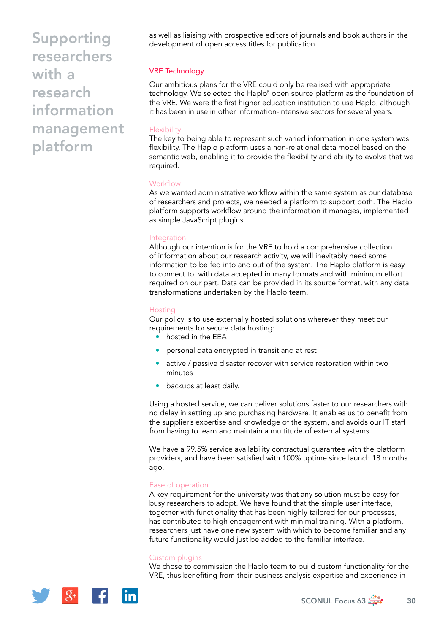as well as liaising with prospective editors of journals and book authors in the development of open access titles for publication.

## VRE Technology

Our ambitious plans for the VRE could only be realised with appropriate technology. We selected the Haplo<sup>5</sup> open source platform as the foundation of the VRE. We were the first higher education institution to use Haplo, although it has been in use in other information-intensive sectors for several years.

## **Flexibility**

The key to being able to represent such varied information in one system was flexibility. The Haplo platform uses a non-relational data model based on the semantic web, enabling it to provide the flexibility and ability to evolve that we required.

## **Workflow**

As we wanted administrative workflow within the same system as our database of researchers and projects, we needed a platform to support both. The Haplo platform supports workflow around the information it manages, implemented as simple JavaScript plugins.

#### Integration

Although our intention is for the VRE to hold a comprehensive collection of information about our research activity, we will inevitably need some information to be fed into and out of the system. The Haplo platform is easy to connect to, with data accepted in many formats and with minimum effort required on our part. Data can be provided in its source format, with any data transformations undertaken by the Haplo team.

## Hosting

Our policy is to use externally hosted solutions wherever they meet our requirements for secure data hosting:

- hosted in the EEA
- personal data encrypted in transit and at rest
- active / passive disaster recover with service restoration within two minutes
- backups at least daily.

Using a hosted service, we can deliver solutions faster to our researchers with no delay in setting up and purchasing hardware. It enables us to benefit from the supplier's expertise and knowledge of the system, and avoids our IT staff from having to learn and maintain a multitude of external systems.

We have a 99.5% service availability contractual quarantee with the platform providers, and have been satisfied with 100% uptime since launch 18 months ago.

## Ease of operation

A key requirement for the university was that any solution must be easy for busy researchers to adopt. We have found that the simple user interface, together with functionality that has been highly tailored for our processes, has contributed to high engagement with minimal training. With a platform, researchers just have one new system with which to become familiar and any future functionality would just be added to the familiar interface.

#### Custom plugins

We chose to commission the Haplo team to build custom functionality for the VRE, thus benefiting from their business analysis expertise and experience in

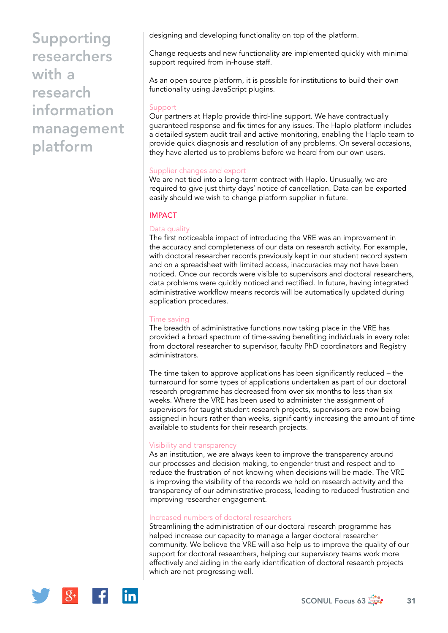designing and developing functionality on top of the platform.

Change requests and new functionality are implemented quickly with minimal support required from in-house staff.

As an open source platform, it is possible for institutions to build their own functionality using JavaScript plugins.

## Support

Our partners at Haplo provide third-line support. We have contractually guaranteed response and fix times for any issues. The Haplo platform includes a detailed system audit trail and active monitoring, enabling the Haplo team to provide quick diagnosis and resolution of any problems. On several occasions, they have alerted us to problems before we heard from our own users.

## Supplier changes and export

We are not tied into a long-term contract with Haplo. Unusually, we are required to give just thirty days' notice of cancellation. Data can be exported easily should we wish to change platform supplier in future.

## **IMPACT**

## Data quality

The first noticeable impact of introducing the VRE was an improvement in the accuracy and completeness of our data on research activity. For example, with doctoral researcher records previously kept in our student record system and on a spreadsheet with limited access, inaccuracies may not have been noticed. Once our records were visible to supervisors and doctoral researchers, data problems were quickly noticed and rectified. In future, having integrated administrative workflow means records will be automatically updated during application procedures.

## Time saving

The breadth of administrative functions now taking place in the VRE has provided a broad spectrum of time-saving benefiting individuals in every role: from doctoral researcher to supervisor, faculty PhD coordinators and Registry administrators.

The time taken to approve applications has been significantly reduced – the turnaround for some types of applications undertaken as part of our doctoral research programme has decreased from over six months to less than six weeks. Where the VRE has been used to administer the assignment of supervisors for taught student research projects, supervisors are now being assigned in hours rather than weeks, significantly increasing the amount of time available to students for their research projects.

#### Visibility and transparency

As an institution, we are always keen to improve the transparency around our processes and decision making, to engender trust and respect and to reduce the frustration of not knowing when decisions will be made. The VRE is improving the visibility of the records we hold on research activity and the transparency of our administrative process, leading to reduced frustration and improving researcher engagement.

#### Increased numbers of doctoral researchers

Streamlining the administration of our doctoral research programme has helped increase our capacity to manage a larger doctoral researcher community. We believe the VRE will also help us to improve the quality of our support for doctoral researchers, helping our supervisory teams work more effectively and aiding in the early identification of doctoral research projects which are not progressing well.

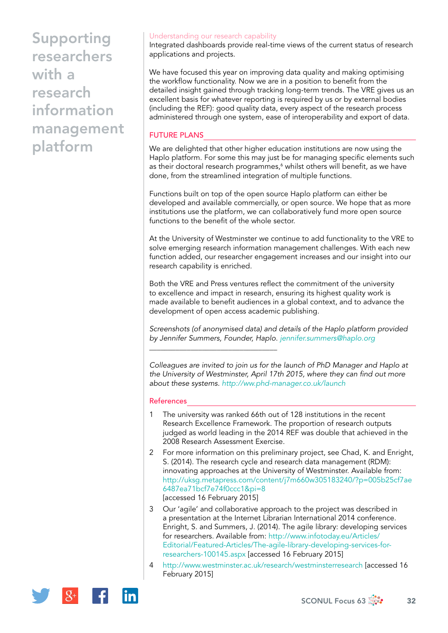## Understanding our research capability

Integrated dashboards provide real-time views of the current status of research applications and projects.

We have focused this year on improving data quality and making optimising the workflow functionality. Now we are in a position to benefit from the detailed insight gained through tracking long-term trends. The VRE gives us an excellent basis for whatever reporting is required by us or by external bodies (including the REF): good quality data, every aspect of the research process administered through one system, ease of interoperability and export of data.

## FUTURE PLANS

We are delighted that other higher education institutions are now using the Haplo platform. For some this may just be for managing specific elements such as their doctoral research programmes,<sup>6</sup> whilst others will benefit, as we have done, from the streamlined integration of multiple functions.

Functions built on top of the open source Haplo platform can either be developed and available commercially, or open source. We hope that as more institutions use the platform, we can collaboratively fund more open source functions to the benefit of the whole sector.

At the University of Westminster we continue to add functionality to the VRE to solve emerging research information management challenges. With each new function added, our researcher engagement increases and our insight into our research capability is enriched.

Both the VRE and Press ventures reflect the commitment of the university to excellence and impact in research, ensuring its highest quality work is made available to benefit audiences in a global context, and to advance the development of open access academic publishing.

*Screenshots (of anonymised data) and details of the Haplo platform provided by Jennifer Summers, Founder, Haplo. [jennifer.summers@haplo.org](mailto:jennifer.summers@haplo.org)*

*Colleagues are invited to join us for the launch of PhD Manager and Haplo at the University of Westminster, April 17th 2015, where they can find out more about these systems. <http://ww.phd-manager.co.uk/launch>*

#### References

\_\_\_\_\_\_\_\_\_\_\_\_\_\_\_\_\_\_\_\_\_\_\_\_\_\_\_\_\_\_\_\_\_\_

- 1 The university was ranked 66th out of 128 institutions in the recent Research Excellence Framework. The proportion of research outputs judged as world leading in the 2014 REF was double that achieved in the 2008 Research Assessment Exercise.
- 2 For more information on this preliminary project, see Chad, K. and Enright, S. (2014). The research cycle and research data management (RDM): innovating approaches at the University of Westminster. Available from: [http://uksg.metapress.com/content/j7m660w305183240/?p=005b25cf7ae](http://uksg.metapress.com/content/j7m660w305183240/?p=005b25cf7ae6487ea71bcf7e74f0ccc1&pi=8) [6487ea71bcf7e74f0ccc1&pi=8](http://uksg.metapress.com/content/j7m660w305183240/?p=005b25cf7ae6487ea71bcf7e74f0ccc1&pi=8) [accessed 16 February 2015]
- 3 Our 'agile' and collaborative approach to the project was described in a presentation at the Internet Librarian International 2014 conference. Enright, S. and Summers, J. (2014). The agile library: developing services for researchers. Available from: [http://www.infotoday.eu/Articles/](http://www.infotoday.eu/Articles/Editorial/Featured-Articles/The-agile-library-developing-services-for-researchers-100145.aspx) [Editorial/Featured-Articles/The-agile-library-developing-services-for](http://www.infotoday.eu/Articles/Editorial/Featured-Articles/The-agile-library-developing-services-for-researchers-100145.aspx)[researchers-100145.aspx](http://www.infotoday.eu/Articles/Editorial/Featured-Articles/The-agile-library-developing-services-for-researchers-100145.aspx) [accessed 16 February 2015]
- 4 <http://www.westminster.ac.uk/research/westminsterresearch> [accessed 16 February 2015]